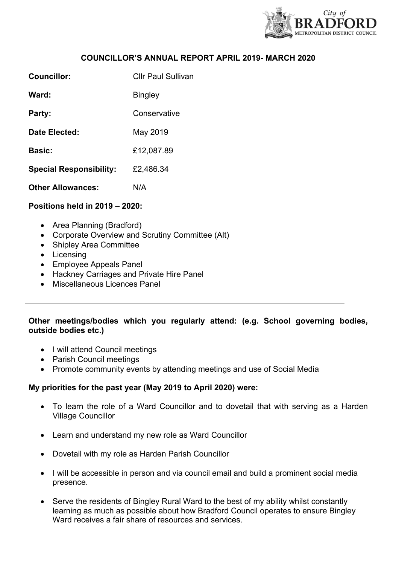

### **COUNCILLOR'S ANNUAL REPORT APRIL 2019- MARCH 2020**

| Councillor:                    | <b>Cllr Paul Sullivan</b> |
|--------------------------------|---------------------------|
| Ward:                          | <b>Bingley</b>            |
| Party:                         | Conservative              |
| Date Elected:                  | May 2019                  |
| <b>Basic:</b>                  | £12,087.89                |
| <b>Special Responsibility:</b> | £2,486.34                 |
| <b>Other Allowances:</b>       | N/A                       |

### **Positions held in 2019 – 2020:**

- Area Planning (Bradford)
- Corporate Overview and Scrutiny Committee (Alt)
- Shipley Area Committee
- Licensing
- Employee Appeals Panel
- Hackney Carriages and Private Hire Panel
- Miscellaneous Licences Panel

# **Other meetings/bodies which you regularly attend: (e.g. School governing bodies, outside bodies etc.)**

- I will attend Council meetings
- Parish Council meetings
- Promote community events by attending meetings and use of Social Media

### **My priorities for the past year (May 2019 to April 2020) were:**

- To learn the role of a Ward Councillor and to dovetail that with serving as a Harden Village Councillor
- Learn and understand my new role as Ward Councillor
- Dovetail with my role as Harden Parish Councillor
- I will be accessible in person and via council email and build a prominent social media presence.
- Serve the residents of Bingley Rural Ward to the best of my ability whilst constantly learning as much as possible about how Bradford Council operates to ensure Bingley Ward receives a fair share of resources and services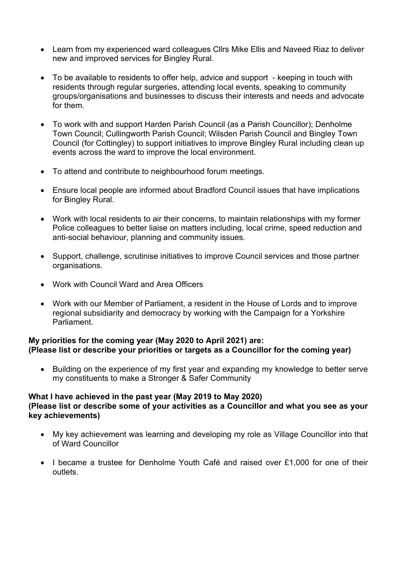- Learn from my experienced ward colleagues Cllrs Mike Ellis and Naveed Riaz to deliver new and improved services for Bingley Rural.
- To be available to residents to offer help, advice and support keeping in touch with residents through regular surgeries, attending local events, speaking to community groups/organisations and businesses to discuss their interests and needs and advocate for them.
- To work with and support Harden Parish Council (as a Parish Councillor); Denholme Town Council; Cullingworth Parish Council; Wilsden Parish Council and Bingley Town Council (for Cottingley) to support initiatives to improve Bingley Rural including clean up events across the ward to improve the local environment.
- To attend and contribute to neighbourhood forum meetings.
- Ensure local people are informed about Bradford Council issues that have implications for Bingley Rural.
- Work with local residents to air their concerns, to maintain relationships with my former Police colleagues to better liaise on matters including, local crime, speed reduction and anti-social behaviour, planning and community issues.
- Support, challenge, scrutinise initiatives to improve Council services and those partner organisations.
- Work with Council Ward and Area Officers
- Work with our Member of Parliament, a resident in the House of Lords and to improve regional subsidiarity and democracy by working with the Campaign for a Yorkshire Parliament.

# **My priorities for the coming year (May 2020 to April 2021) are: (Please list or describe your priorities or targets as a Councillor for the coming year)**

• Building on the experience of my first year and expanding my knowledge to better serve my constituents to make a Stronger & Safer Community

#### **What I have achieved in the past year (May 2019 to May 2020) (Please list or describe some of your activities as a Councillor and what you see as your key achievements)**

- My key achievement was learning and developing my role as Village Councillor into that of Ward Councillor
- I became a trustee for Denholme Youth Café and raised over £1,000 for one of their outlets.